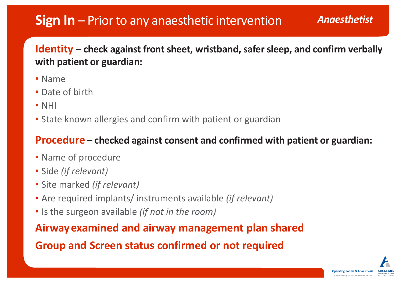## **Sign In** – Priorto any anaesthetic intervention *Anaesthetist*

### **Identity – check against front sheet, wristband, safer sleep, and confirm verbally with patient or guardian:**

- Name
- Date of birth
- NHI
- State known allergies and confirm with patient or guardian

### **Procedure – checked against consent and confirmed with patient or guardian:**

- Name of procedure
- Side *(if relevant)*
- Site marked *(if relevant)*
- Are required implants/ instruments available *(if relevant)*
- Is the surgeon available *(if not in the room)*

**Airwayexamined and airway management plan shared Group and Screen status confirmed or not required**



**Operating Rooms & Anaesthesia**  *A department of Auckland District Health Board*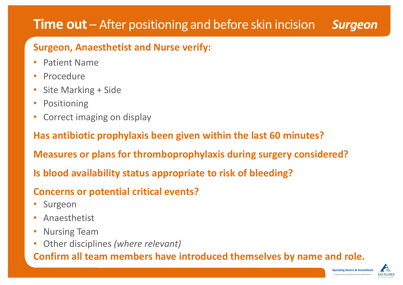## **Time out** – After positioning and before skin incision *Surgeon*

### **Surgeon, Anaesthetist and Nurse verify:**

- Patient Name
- Procedure
- Site Marking + Side
- Positioning
- Correct imaging on display

**Has antibiotic prophylaxis been given within the last 60 minutes?** 

- **Surgeon**
- Anaesthetist
- Nursing Team
- Other disciplines *(where relevant)*

**Measures or plans for thromboprophylaxis during surgery considered?** 

**Is blood availability status appropriate to risk of bleeding?**

**Concerns or potential critical events?**

**Confirm all team members have introduced themselves by name and role.**



 **Operating Rooms & Anaesthesia**  *A department of Auckland District Health Board*